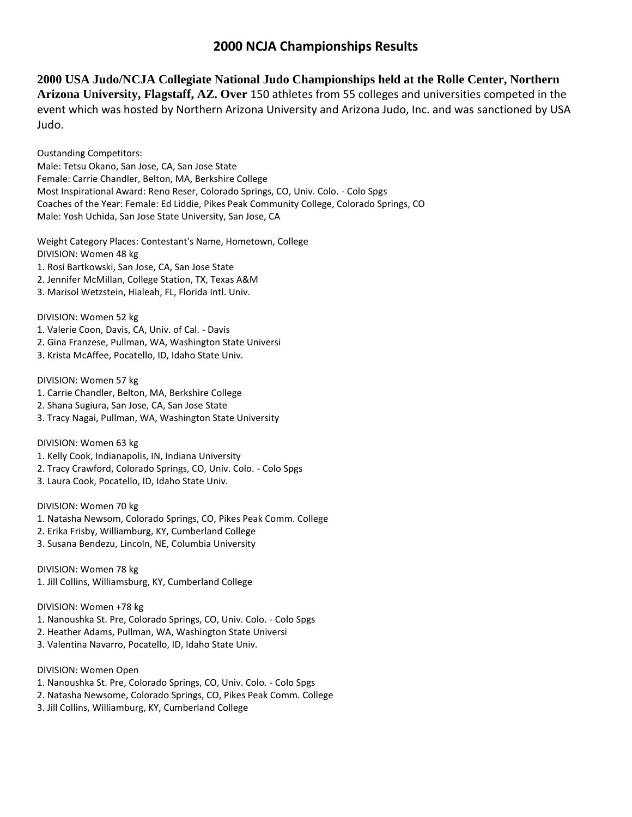# **2000 NCJA Championships Results**

**2000 USA Judo/NCJA Collegiate National Judo Championships held at the Rolle Center, Northern Arizona University, Flagstaff, AZ. Over** 150 athletes from 55 colleges and universities competed in the event which was hosted by Northern Arizona University and Arizona Judo, Inc. and was sanctioned by USA Judo.

Oustanding Competitors:

Male: Tetsu Okano, San Jose, CA, San Jose State Female: Carrie Chandler, Belton, MA, Berkshire College Most Inspirational Award: Reno Reser, Colorado Springs, CO, Univ. Colo. - Colo Spgs Coaches of the Year: Female: Ed Liddie, Pikes Peak Community College, Colorado Springs, CO Male: Yosh Uchida, San Jose State University, San Jose, CA

Weight Category Places: Contestant's Name, Hometown, College

DIVISION: Women 48 kg

- 1. Rosi Bartkowski, San Jose, CA, San Jose State
- 2. Jennifer McMillan, College Station, TX, Texas A&M
- 3. Marisol Wetzstein, Hialeah, FL, Florida Intl. Univ.

DIVISION: Women 52 kg

- 1. Valerie Coon, Davis, CA, Univ. of Cal. Davis
- 2. Gina Franzese, Pullman, WA, Washington State Universi
- 3. Krista McAffee, Pocatello, ID, Idaho State Univ.

DIVISION: Women 57 kg

- 1. Carrie Chandler, Belton, MA, Berkshire College
- 2. Shana Sugiura, San Jose, CA, San Jose State
- 3. Tracy Nagai, Pullman, WA, Washington State University

DIVISION: Women 63 kg

- 1. Kelly Cook, Indianapolis, IN, Indiana University
- 2. Tracy Crawford, Colorado Springs, CO, Univ. Colo. Colo Spgs
- 3. Laura Cook, Pocatello, ID, Idaho State Univ.

DIVISION: Women 70 kg

- 1. Natasha Newsom, Colorado Springs, CO, Pikes Peak Comm. College
- 2. Erika Frisby, Williamburg, KY, Cumberland College
- 3. Susana Bendezu, Lincoln, NE, Columbia University

DIVISION: Women 78 kg 1. Jill Collins, Williamsburg, KY, Cumberland College

## DIVISION: Women +78 kg

- 1. Nanoushka St. Pre, Colorado Springs, CO, Univ. Colo. Colo Spgs
- 2. Heather Adams, Pullman, WA, Washington State Universi
- 3. Valentina Navarro, Pocatello, ID, Idaho State Univ.

DIVISION: Women Open

- 1. Nanoushka St. Pre, Colorado Springs, CO, Univ. Colo. Colo Spgs
- 2. Natasha Newsome, Colorado Springs, CO, Pikes Peak Comm. College
- 3. Jill Collins, Williamburg, KY, Cumberland College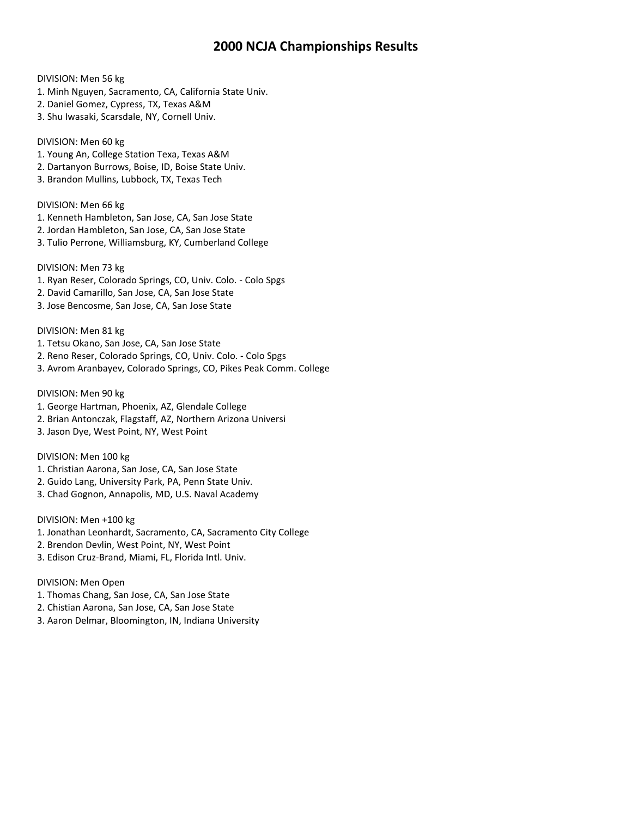## **2000 NCJA Championships Results**

## DIVISION: Men 56 kg

- 1. Minh Nguyen, Sacramento, CA, California State Univ.
- 2. Daniel Gomez, Cypress, TX, Texas A&M
- 3. Shu Iwasaki, Scarsdale, NY, Cornell Univ.

#### DIVISION: Men 60 kg

- 1. Young An, College Station Texa, Texas A&M
- 2. Dartanyon Burrows, Boise, ID, Boise State Univ.
- 3. Brandon Mullins, Lubbock, TX, Texas Tech

#### DIVISION: Men 66 kg

- 1. Kenneth Hambleton, San Jose, CA, San Jose State
- 2. Jordan Hambleton, San Jose, CA, San Jose State
- 3. Tulio Perrone, Williamsburg, KY, Cumberland College

## DIVISION: Men 73 kg

- 1. Ryan Reser, Colorado Springs, CO, Univ. Colo. Colo Spgs
- 2. David Camarillo, San Jose, CA, San Jose State
- 3. Jose Bencosme, San Jose, CA, San Jose State

### DIVISION: Men 81 kg

- 1. Tetsu Okano, San Jose, CA, San Jose State
- 2. Reno Reser, Colorado Springs, CO, Univ. Colo. Colo Spgs
- 3. Avrom Aranbayev, Colorado Springs, CO, Pikes Peak Comm. College

#### DIVISION: Men 90 kg

- 1. George Hartman, Phoenix, AZ, Glendale College
- 2. Brian Antonczak, Flagstaff, AZ, Northern Arizona Universi
- 3. Jason Dye, West Point, NY, West Point

### DIVISION: Men 100 kg

- 1. Christian Aarona, San Jose, CA, San Jose State
- 2. Guido Lang, University Park, PA, Penn State Univ.
- 3. Chad Gognon, Annapolis, MD, U.S. Naval Academy

DIVISION: Men +100 kg

- 1. Jonathan Leonhardt, Sacramento, CA, Sacramento City College
- 2. Brendon Devlin, West Point, NY, West Point
- 3. Edison Cruz-Brand, Miami, FL, Florida Intl. Univ.

#### DIVISION: Men Open

- 1. Thomas Chang, San Jose, CA, San Jose State
- 2. Chistian Aarona, San Jose, CA, San Jose State
- 3. Aaron Delmar, Bloomington, IN, Indiana University